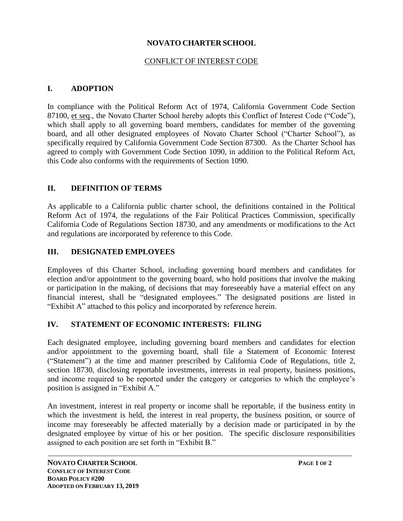## **NOVATO CHARTER SCHOOL**

## CONFLICT OF INTEREST CODE

# **I. ADOPTION**

In compliance with the Political Reform Act of 1974, California Government Code Section 87100, et seq., the Novato Charter School hereby adopts this Conflict of Interest Code ("Code"), which shall apply to all governing board members, candidates for member of the governing board, and all other designated employees of Novato Charter School ("Charter School"), as specifically required by California Government Code Section 87300. As the Charter School has agreed to comply with Government Code Section 1090, in addition to the Political Reform Act, this Code also conforms with the requirements of Section 1090.

## **II. DEFINITION OF TERMS**

As applicable to a California public charter school, the definitions contained in the Political Reform Act of 1974, the regulations of the Fair Political Practices Commission, specifically California Code of Regulations Section 18730, and any amendments or modifications to the Act and regulations are incorporated by reference to this Code.

## **III. DESIGNATED EMPLOYEES**

Employees of this Charter School, including governing board members and candidates for election and/or appointment to the governing board, who hold positions that involve the making or participation in the making, of decisions that may foreseeably have a material effect on any financial interest, shall be "designated employees." The designated positions are listed in "Exhibit A" attached to this policy and incorporated by reference herein.

## **IV. STATEMENT OF ECONOMIC INTERESTS: FILING**

Each designated employee, including governing board members and candidates for election and/or appointment to the governing board, shall file a Statement of Economic Interest ("Statement") at the time and manner prescribed by California Code of Regulations, title 2, section 18730, disclosing reportable investments, interests in real property, business positions, and income required to be reported under the category or categories to which the employee's position is assigned in "Exhibit A."

An investment, interest in real property or income shall be reportable, if the business entity in which the investment is held, the interest in real property, the business position, or source of income may foreseeably be affected materially by a decision made or participated in by the designated employee by virtue of his or her position. The specific disclosure responsibilities assigned to each position are set forth in "Exhibit B."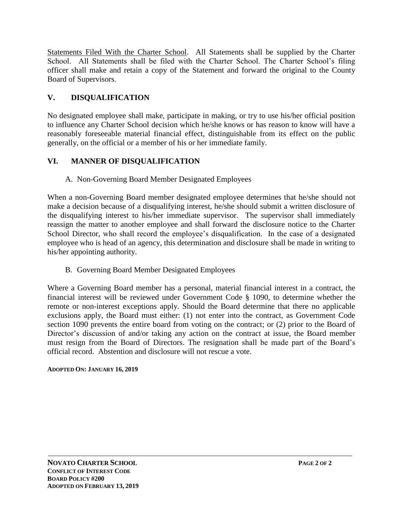Statements Filed With the Charter School. All Statements shall be supplied by the Charter School. All Statements shall be filed with the Charter School. The Charter School's filing officer shall make and retain a copy of the Statement and forward the original to the County Board of Supervisors.

# **V. DISQUALIFICATION**

No designated employee shall make, participate in making, or try to use his/her official position to influence any Charter School decision which he/she knows or has reason to know will have a reasonably foreseeable material financial effect, distinguishable from its effect on the public generally, on the official or a member of his or her immediate family.

# **VI. MANNER OF DISQUALIFICATION**

A. Non-Governing Board Member Designated Employees

When a non-Governing Board member designated employee determines that he/she should not make a decision because of a disqualifying interest, he/she should submit a written disclosure of the disqualifying interest to his/her immediate supervisor. The supervisor shall immediately reassign the matter to another employee and shall forward the disclosure notice to the Charter School Director, who shall record the employee's disqualification. In the case of a designated employee who is head of an agency, this determination and disclosure shall be made in writing to his/her appointing authority.

B. Governing Board Member Designated Employees

Where a Governing Board member has a personal, material financial interest in a contract, the financial interest will be reviewed under Government Code § 1090, to determine whether the remote or non-interest exceptions apply. Should the Board determine that there no applicable exclusions apply, the Board must either: (1) not enter into the contract, as Government Code section 1090 prevents the entire board from voting on the contract; or (2) prior to the Board of Director's discussion of and/or taking any action on the contract at issue, the Board member must resign from the Board of Directors. The resignation shall be made part of the Board's official record. Abstention and disclosure will not rescue a vote.

## **ADOPTED ON: JANUARY 16, 2019**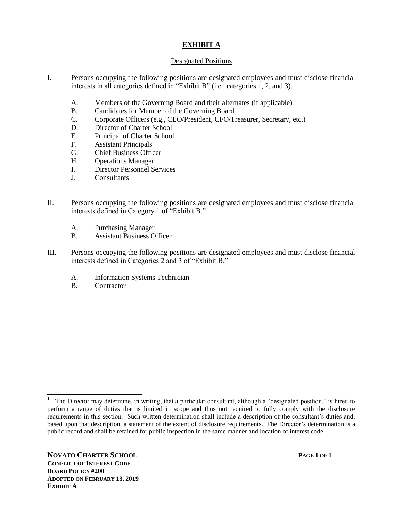#### **EXHIBIT A**

#### Designated Positions

- I. Persons occupying the following positions are designated employees and must disclose financial interests in all categories defined in "Exhibit B" (i.e., categories 1, 2, and 3).
	- A. Members of the Governing Board and their alternates (if applicable)
	- B. Candidates for Member of the Governing Board
	- C. Corporate Officers (e.g., CEO/President, CFO/Treasurer, Secretary, etc.)
	- D. Director of Charter School
	- E. Principal of Charter School
	- F. Assistant Principals
	- G. Chief Business Officer
	- H. Operations Manager
	- I. Director Personnel Services
	- $J.$  Consultants<sup>1</sup>
- II. Persons occupying the following positions are designated employees and must disclose financial interests defined in Category 1 of "Exhibit B."
	- A. Purchasing Manager
	- B. Assistant Business Officer
- III. Persons occupying the following positions are designated employees and must disclose financial interests defined in Categories 2 and 3 of "Exhibit B."
	- A. Information Systems Technician
	- B. Contractor

l 1 The Director may determine, in writing, that a particular consultant, although a "designated position," is hired to perform a range of duties that is limited in scope and thus not required to fully comply with the disclosure requirements in this section. Such written determination shall include a description of the consultant's duties and, based upon that description, a statement of the extent of disclosure requirements. The Director's determination is a public record and shall be retained for public inspection in the same manner and location of interest code.